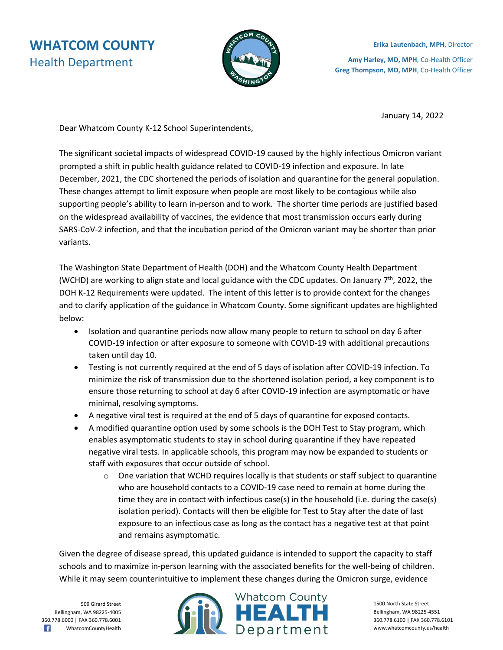## **WHATCOM COUNTY** Health Department



**Erika Lautenbach, MPH**, Director **Amy Harley, MD, MPH**, Co-Health Officer **Greg Thompson, MD, MPH**, Co-Health Officer

January 14, 2022

Dear Whatcom County K-12 School Superintendents,

The significant societal impacts of widespread COVID-19 caused by the highly infectious Omicron variant prompted a shift in public health guidance related to COVID-19 infection and exposure. In late December, 2021, the CDC shortened the periods of isolation and quarantine for the general population. These changes attempt to limit exposure when people are most likely to be contagious while also supporting people's ability to learn in-person and to work. The shorter time periods are justified based on the widespread availability of vaccines, the evidence that most transmission occurs early during SARS-CoV-2 infection, and that the incubation period of the Omicron variant may be shorter than prior variants.

The Washington State Department of Health (DOH) and the Whatcom County Health Department (WCHD) are working to align state and local guidance with the CDC updates. On January  $7<sup>th</sup>$ , 2022, the DOH K-12 Requirements were updated. The intent of this letter is to provide context for the changes and to clarify application of the guidance in Whatcom County. Some significant updates are highlighted below:

- Isolation and quarantine periods now allow many people to return to school on day 6 after COVID-19 infection or after exposure to someone with COVID-19 with additional precautions taken until day 10.
- Testing is not currently required at the end of 5 days of isolation after COVID-19 infection. To minimize the risk of transmission due to the shortened isolation period, a key component is to ensure those returning to school at day 6 after COVID-19 infection are asymptomatic or have minimal, resolving symptoms.
- A negative viral test is required at the end of 5 days of quarantine for exposed contacts.
- A modified quarantine option used by some schools is the DOH Test to Stay program, which enables asymptomatic students to stay in school during quarantine if they have repeated negative viral tests. In applicable schools, this program may now be expanded to students or staff with exposures that occur outside of school.
	- $\circ$  One variation that WCHD requires locally is that students or staff subject to quarantine who are household contacts to a COVID-19 case need to remain at home during the time they are in contact with infectious case(s) in the household (i.e. during the case(s) isolation period). Contacts will then be eligible for Test to Stay after the date of last exposure to an infectious case as long as the contact has a negative test at that point and remains asymptomatic.

Given the degree of disease spread, this updated guidance is intended to support the capacity to staff schools and to maximize in-person learning with the associated benefits for the well-being of children. While it may seem counterintuitive to implement these changes during the Omicron surge, evidence

509 Girard Street Bellingham, WA 98225-4005 360.778.6000 | FAX 360.778.6001 R WhatcomCountyHealth



1500 North State Street Bellingham, WA 98225-4551 360.778.6100 | FAX 360.778.6101 www.whatcomcounty.us/health